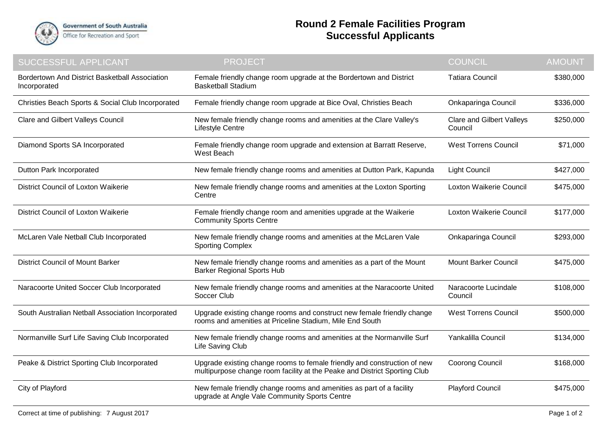

## **Round 2 Female Facilities Program Successful Applicants**

| <b>SUCCESSFUL APPLICANT</b>                                    | <b>PROJECT</b>                                                                                                                                        | <b>COUNCIL</b>                              | <b>AMOUNT</b> |
|----------------------------------------------------------------|-------------------------------------------------------------------------------------------------------------------------------------------------------|---------------------------------------------|---------------|
| Bordertown And District Basketball Association<br>Incorporated | Female friendly change room upgrade at the Bordertown and District<br><b>Basketball Stadium</b>                                                       | <b>Tatiara Council</b>                      | \$380,000     |
| Christies Beach Sports & Social Club Incorporated              | Female friendly change room upgrade at Bice Oval, Christies Beach                                                                                     | Onkaparinga Council                         | \$336,000     |
| <b>Clare and Gilbert Valleys Council</b>                       | New female friendly change rooms and amenities at the Clare Valley's<br>Lifestyle Centre                                                              | <b>Clare and Gilbert Valleys</b><br>Council | \$250,000     |
| Diamond Sports SA Incorporated                                 | Female friendly change room upgrade and extension at Barratt Reserve,<br>West Beach                                                                   | <b>West Torrens Council</b>                 | \$71,000      |
| Dutton Park Incorporated                                       | New female friendly change rooms and amenities at Dutton Park, Kapunda                                                                                | <b>Light Council</b>                        | \$427,000     |
| <b>District Council of Loxton Waikerie</b>                     | New female friendly change rooms and amenities at the Loxton Sporting<br>Centre                                                                       | Loxton Waikerie Council                     | \$475,000     |
| <b>District Council of Loxton Waikerie</b>                     | Female friendly change room and amenities upgrade at the Waikerie<br><b>Community Sports Centre</b>                                                   | Loxton Waikerie Council                     | \$177,000     |
| McLaren Vale Netball Club Incorporated                         | New female friendly change rooms and amenities at the McLaren Vale<br><b>Sporting Complex</b>                                                         | Onkaparinga Council                         | \$293,000     |
| <b>District Council of Mount Barker</b>                        | New female friendly change rooms and amenities as a part of the Mount<br><b>Barker Regional Sports Hub</b>                                            | <b>Mount Barker Council</b>                 | \$475,000     |
| Naracoorte United Soccer Club Incorporated                     | New female friendly change rooms and amenities at the Naracoorte United<br>Soccer Club                                                                | Naracoorte Lucindale<br>Council             | \$108,000     |
| South Australian Netball Association Incorporated              | Upgrade existing change rooms and construct new female friendly change<br>rooms and amenities at Priceline Stadium, Mile End South                    | <b>West Torrens Council</b>                 | \$500,000     |
| Normanville Surf Life Saving Club Incorporated                 | New female friendly change rooms and amenities at the Normanville Surf<br>Life Saving Club                                                            | Yankalilla Council                          | \$134,000     |
| Peake & District Sporting Club Incorporated                    | Upgrade existing change rooms to female friendly and construction of new<br>multipurpose change room facility at the Peake and District Sporting Club | <b>Coorong Council</b>                      | \$168,000     |
| City of Playford                                               | New female friendly change rooms and amenities as part of a facility<br>upgrade at Angle Vale Community Sports Centre                                 | <b>Playford Council</b>                     | \$475,000     |